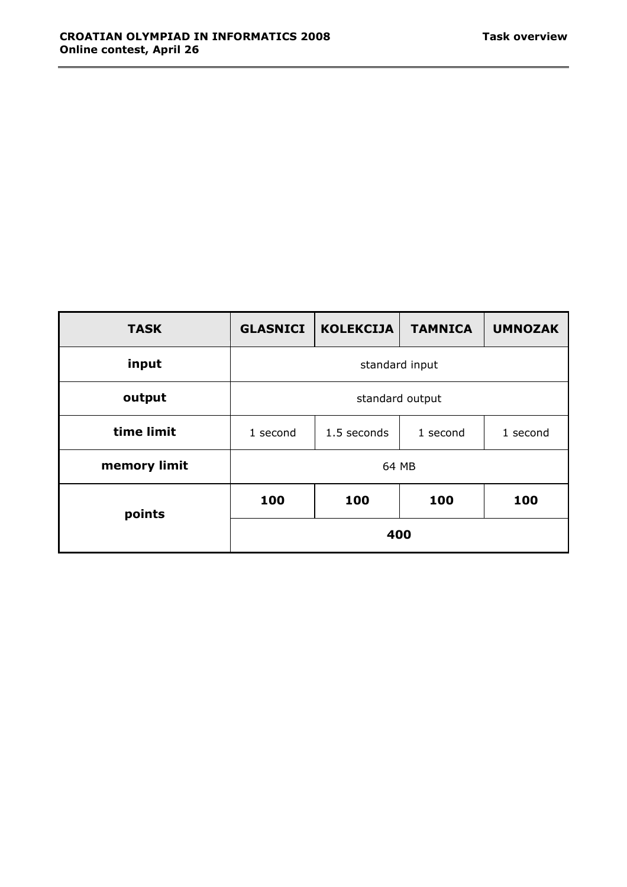| <b>TASK</b>  | <b>GLASNICI</b> | <b>KOLEKCIJA</b> | <b>TAMNICA</b> | <b>UMNOZAK</b> |
|--------------|-----------------|------------------|----------------|----------------|
| input        | standard input  |                  |                |                |
| output       | standard output |                  |                |                |
| time limit   | 1 second        | 1.5 seconds      | 1 second       | 1 second       |
| memory limit | 64 MB           |                  |                |                |
| points       | 100             | 100              | 100            | 100            |
|              | 400             |                  |                |                |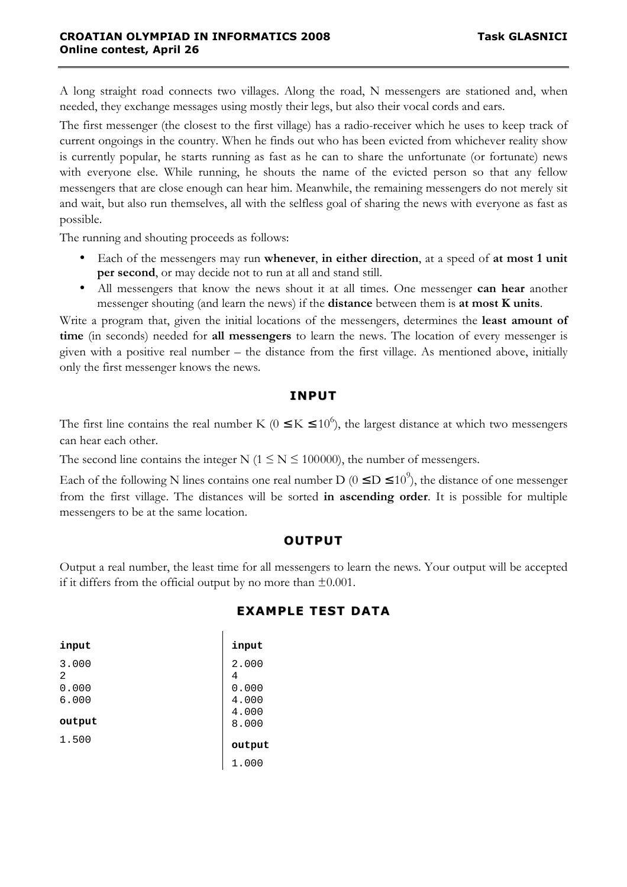A long straight road connects two villages. Along the road, N messengers are stationed and, when needed, they exchange messages using mostly their legs, but also their vocal cords and ears.

The first messenger (the closest to the first village) has a radio-receiver which he uses to keep track of current ongoings in the country. When he finds out who has been evicted from whichever reality show is currently popular, he starts running as fast as he can to share the unfortunate (or fortunate) news with everyone else. While running, he shouts the name of the evicted person so that any fellow messengers that are close enough can hear him. Meanwhile, the remaining messengers do not merely sit and wait, but also run themselves, all with the selfless goal of sharing the news with everyone as fast as possible.

The running and shouting proceeds as follows:

- Each of the messengers may run **whenever**, **in either direction**, at a speed of **at most 1 unit per second**, or may decide not to run at all and stand still.
- All messengers that know the news shout it at all times. One messenger **can hear** another messenger shouting (and learn the news) if the **distance** between them is **at most K units**.

Write a program that, given the initial locations of the messengers, determines the **least amount of time** (in seconds) needed for **all messengers** to learn the news. The location of every messenger is given with a positive real number – the distance from the first village. As mentioned above, initially only the first messenger knows the news.

## **INPUT**

The first line contains the real number K ( $0 \le K \le 10^6$ ), the largest distance at which two messengers can hear each other.

The second line contains the integer N ( $1 \le N \le 100000$ ), the number of messengers.

Each of the following N lines contains one real number D ( $0 \le D \le 10^9$ ), the distance of one messenger from the first village. The distances will be sorted **in ascending order**. It is possible for multiple messengers to be at the same location.

## **OUTPUT**

Output a real number, the least time for all messengers to learn the news. Your output will be accepted if it differs from the official output by no more than  $\pm 0.001$ .

# **EXAMPLE TEST DATA**

| input      | input      |
|------------|------------|
| 3.000<br>2 | 2.000<br>4 |
| 0.000      | 0.000      |
| 6.000      | 4.000      |
|            | 4.000      |
| output     | 8.000      |
| 1.500      | output     |
|            | 1.000      |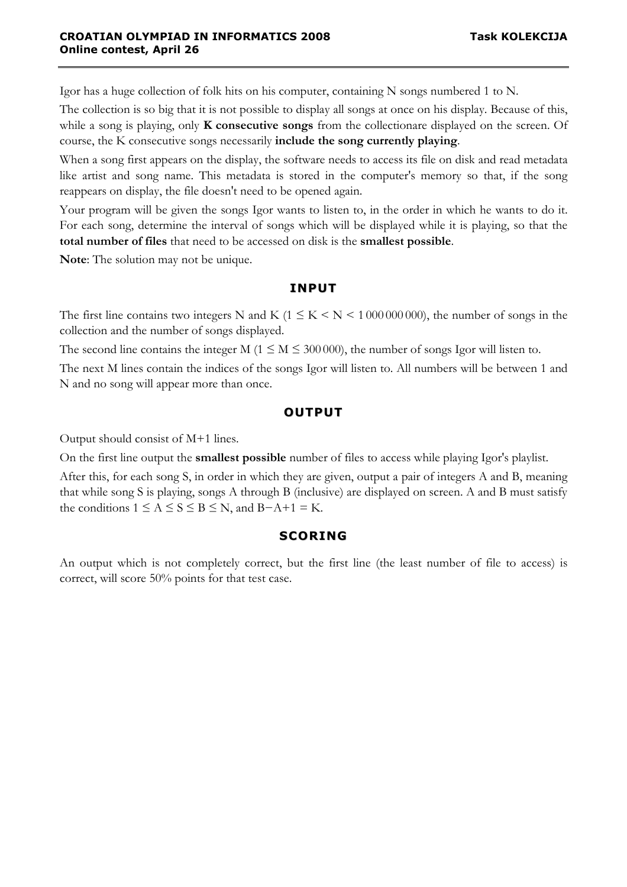Igor has a huge collection of folk hits on his computer, containing N songs numbered 1 to N.

The collection is so big that it is not possible to display all songs at once on his display. Because of this, while a song is playing, only **K consecutive songs** from the collectionare displayed on the screen. Of course, the K consecutive songs necessarily **include the song currently playing**.

When a song first appears on the display, the software needs to access its file on disk and read metadata like artist and song name. This metadata is stored in the computer's memory so that, if the song reappears on display, the file doesn't need to be opened again.

Your program will be given the songs Igor wants to listen to, in the order in which he wants to do it. For each song, determine the interval of songs which will be displayed while it is playing, so that the **total number of files** that need to be accessed on disk is the **smallest possible**.

**Note**: The solution may not be unique.

## **INPUT**

The first line contains two integers N and K ( $1 \leq K \leq N \leq 100000000$ ), the number of songs in the collection and the number of songs displayed.

The second line contains the integer M ( $1 \le M \le 300000$ ), the number of songs Igor will listen to.

The next M lines contain the indices of the songs Igor will listen to. All numbers will be between 1 and N and no song will appear more than once.

## **OUTPUT**

Output should consist of M+1 lines.

On the first line output the **smallest possible** number of files to access while playing Igor's playlist.

After this, for each song S, in order in which they are given, output a pair of integers A and B, meaning that while song S is playing, songs A through B (inclusive) are displayed on screen. A and B must satisfy the conditions  $1 \le A \le S \le B \le N$ , and  $B-A+1 = K$ .

## **SCORING**

An output which is not completely correct, but the first line (the least number of file to access) is correct, will score 50% points for that test case.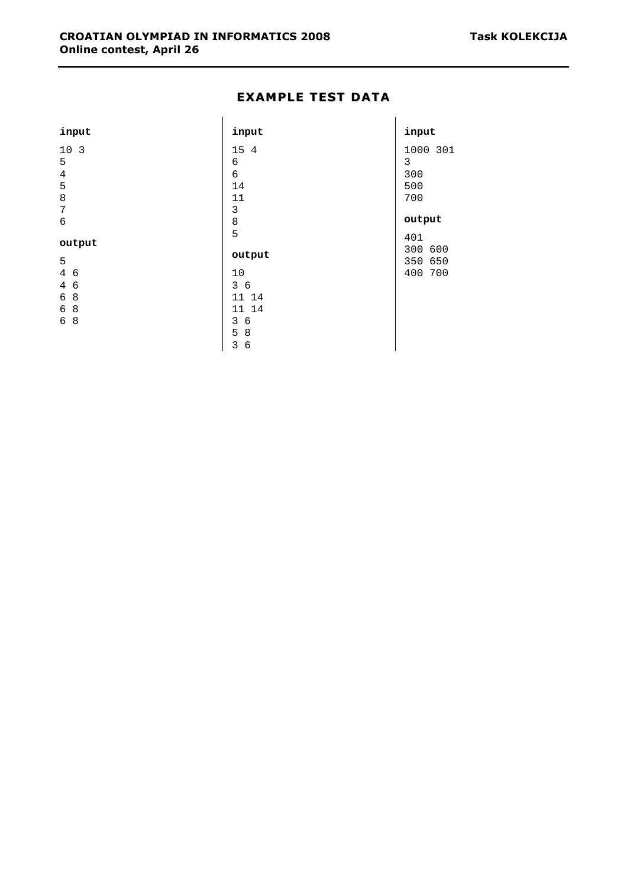#### **EXAMPLE TEST DATA**

| input                        | input           | input    |
|------------------------------|-----------------|----------|
| 10 <sub>3</sub>              | 15 4            | 1000 301 |
| 5                            | 6               | 3        |
| $\overline{4}$               | $\sqrt{6}$      | 300      |
| 5                            | 14              | 500      |
| $\,8\,$                      | 11              | 700      |
| $\sqrt{ }$                   | $\mathfrak{Z}$  |          |
| 6                            | $\,8\,$         | output   |
|                              | 5               | 401      |
| output                       |                 | 300 600  |
| 5                            | output          | 350 650  |
| 4 6                          | 10              | 400 700  |
| $\overline{4}$<br>$\epsilon$ | 36              |          |
| 8<br>6                       | 11 14           |          |
| 8<br>6                       | 11 14           |          |
| 8<br>6                       | 3<br>$\epsilon$ |          |
|                              | 5<br>8          |          |
|                              | 3<br>6          |          |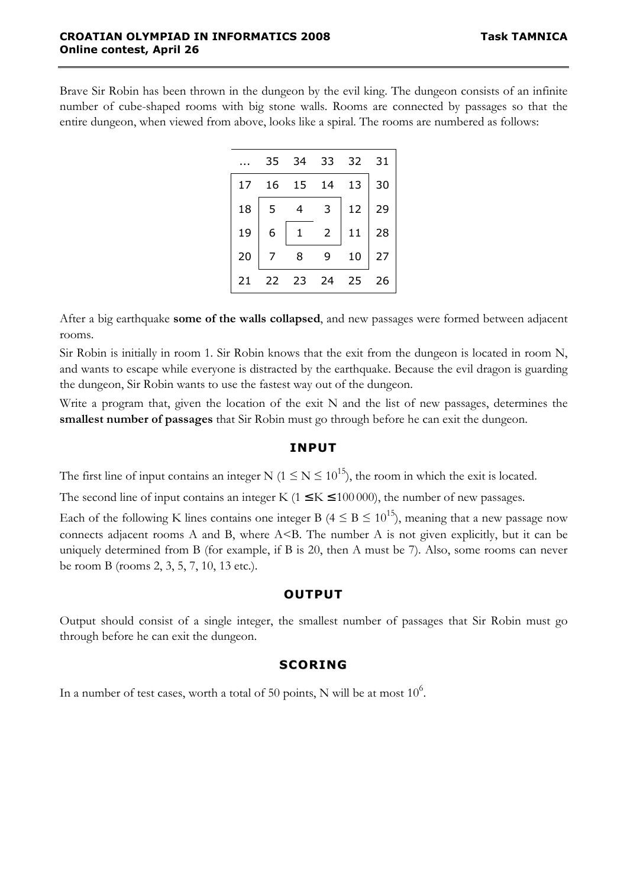Brave Sir Robin has been thrown in the dungeon by the evil king. The dungeon consists of an infinite number of cube-shaped rooms with big stone walls. Rooms are connected by passages so that the entire dungeon, when viewed from above, looks like a spiral. The rooms are numbered as follows:

|    | 35 | 34 | 33 | 32 | 31 |
|----|----|----|----|----|----|
| 17 | 16 | 15 | 14 | 13 | 30 |
| 18 | 5  |    | 3  | 12 | 29 |
| 19 | 6  |    | 2  | 11 | 28 |
| 20 |    | 8  |    | 10 | 27 |
| 21 | 22 | 23 | 24 | 25 | 26 |

After a big earthquake **some of the walls collapsed**, and new passages were formed between adjacent rooms.

Sir Robin is initially in room 1. Sir Robin knows that the exit from the dungeon is located in room N, and wants to escape while everyone is distracted by the earthquake. Because the evil dragon is guarding the dungeon, Sir Robin wants to use the fastest way out of the dungeon.

Write a program that, given the location of the exit N and the list of new passages, determines the **smallest number of passages** that Sir Robin must go through before he can exit the dungeon.

#### **INPUT**

The first line of input contains an integer N ( $1 \le N \le 10^{15}$ ), the room in which the exit is located.

The second line of input contains an integer K ( $1 \le K \le 100000$ ), the number of new passages.

Each of the following K lines contains one integer B ( $4 \leq B \leq 10^{15}$ ), meaning that a new passage now connects adjacent rooms A and B, where  $A \leq B$ . The number A is not given explicitly, but it can be uniquely determined from B (for example, if B is 20, then A must be 7). Also, some rooms can never be room B (rooms 2, 3, 5, 7, 10, 13 etc.).

#### **OUTPUT**

Output should consist of a single integer, the smallest number of passages that Sir Robin must go through before he can exit the dungeon.

#### **SCORING**

In a number of test cases, worth a total of 50 points, N will be at most  $10^6$ .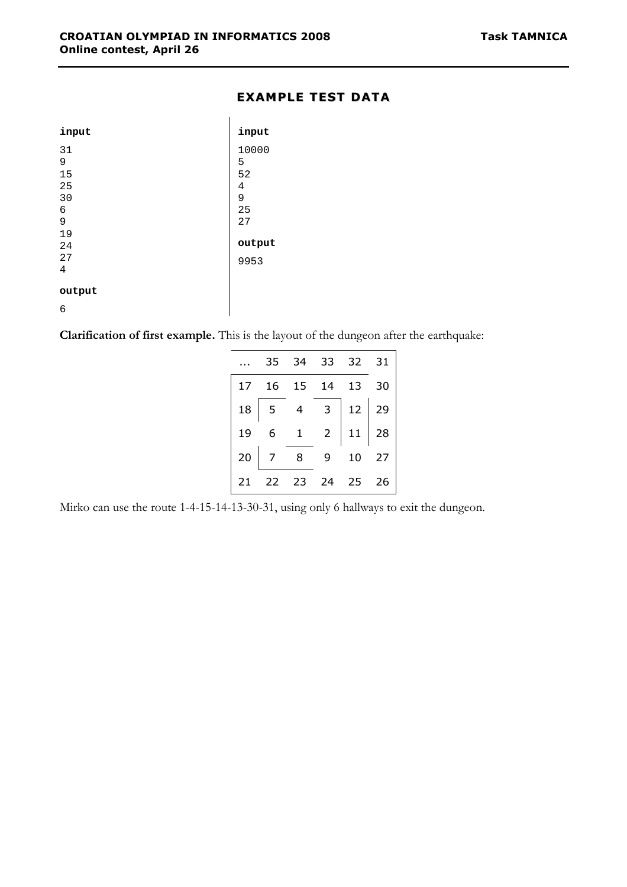#### **EXAMPLE TEST DATA**

| input  | input  |
|--------|--------|
| 31     | 10000  |
| 9      | 5      |
| 15     | 52     |
| 25     | 4      |
| 30     | 9      |
| 6      | 25     |
| 9      | 27     |
| 19     |        |
| 24     | output |
| 27     | 9953   |
| 4      |        |
| output |        |
| 6      |        |

**Clarification of first example.** This is the layout of the dungeon after the earthquake:

|    |                                     |   | 35 34 33 32 31                                              |  |
|----|-------------------------------------|---|-------------------------------------------------------------|--|
|    | 17  16  15  14  13  30              |   |                                                             |  |
|    | $18 \mid 5 \mid 4$                  |   | $\begin{array}{c c} 3 & 12 & 29 \\ 2 & 11 & 28 \end{array}$ |  |
| 19 | $\begin{matrix} 6 & 1 \end{matrix}$ |   |                                                             |  |
|    | $20 \mid 7 \mid 8$                  | 9 | 10 27                                                       |  |
| 21 | 22 23 24 25 26                      |   |                                                             |  |

Mirko can use the route 1-4-15-14-13-30-31, using only 6 hallways to exit the dungeon.